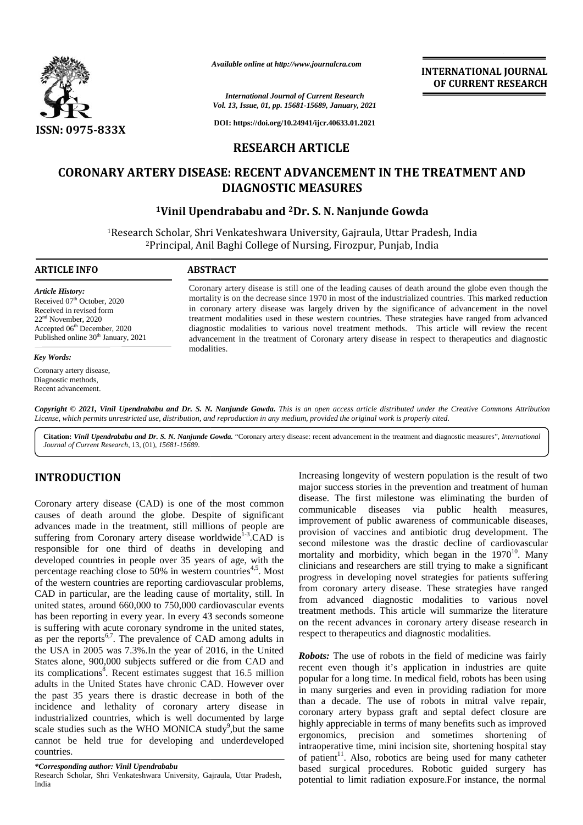

*Available online at http://www.journalcra.com*

**INTERNATIONAL JOURNAL OF CURRENT RESEARCH**

*International Journal of Current Research Vol. 13, Issue, 01, pp. 15681-15689, January, 2021*

**DOI: https://doi.org/10.24941/ijcr.40633.01.2021**

# **RESEARCH ARTICLE**

# **CORONARY ARTERY DISEASE: RECENT ADVANCEMENT IN THE TREATMENT AND TREATMENT DIAGNOSTIC MEASURES**

## **<sup>1</sup>Vinil Upendrababu and <sup>2</sup>Dr. S. N. Nanjunde Gowda Dr.**

<sup>1</sup>Research Scholar, Shri Venkateshwara University, Gajraula, Uttar Pradesh, India <sup>1</sup>Research Scholar, Shri Venkateshwara University, Gajraula, Uttar Pradesh, India<br><sup>2</sup>Principal, Anil Baghi College of Nursing, Firozpur, Punjab, India

#### **ARTICLE INFO ABSTRACT ARTICLE ABSTRACT**

*Article History:* Received 07<sup>th</sup> October, 2020 Received in revised form 22nd November, 2020 Received in revised form<br>22<sup>nd</sup> November, 2020<br>Accepted 06<sup>th</sup> December, 2020 Published online 30<sup>th</sup> January, 2021

## *Key Words:*

Coronary artery disease, Diagnostic methods, Recent advancement.

Coronary artery disease is still one of the leading causes of death around the globe even though the mortality is on the decrease since 1970 in most of the industrialized countries. This marked reduction in coronary artery disease was largely driven by the significance of advancement in the novel treatment modalities used in these western countries. These strategies have ranged from advanced diagnostic modalities to various novel treatment methods. This article will review the recent advancement in the treatment of Coronary artery disease in respect to therapeutics and diagnostic modalities. ronary artery disease is still one of the leading causes of death around the globe even though the rtality is on the decrease since 1970 in most of the industrialized countries. This marked reduction coronary artery diseas in these western countries. These strategies have ranged various novel treatment methods. This article will rev<br>nent of Coronary artery disease in respect to therapeutics Amilable ondine at Mpc//www.journalcra.com<br>
INTERNATIONAL JOURNA<br>
CORONARY ARTERY DISEASE: *International Journal Current Resume 1997*<br>
SON: 0975-833X<br>
DOI: https://www.got.got.1689/January.2021<br>
CORONARY ARTERY DISEASE: R

**Copyright © 2021, Vinil Upendrababu and Dr. S. N. Nanjunde Gowda.** This is an open access article distributed under the Creative Commons Attribution<br>License, which permits unrestricted use, distribution, and reproduction License, which permits unrestricted use, distribution, and reproduction in any medium, provided the original work is properly cited.

**Citation:** *Vinil Upendrababu and Dr. S. N. Nanjunde Gowda.* "Coronary artery disease: recent advancement in the treatment and diagnostic measures", *International Journal of Current Research*, 13, (01), *15681-15689*.

# **INTRODUCTION INTRODUCTION**

Coronary artery disease  $(CAD)$  is one of the most common causes of death around the globe. Despite of significant causes of death around the globe. Despite of significant  $\frac{\text{com}}{\text{imp}}$ <br>advances made in the treatment, still millions of people are suffering from Coronary artery disease worldwide<sup>1-3</sup>.CAD is  $\frac{pro}{1.5}$ responsible for one third of deaths in developing and developed countries in people over 35 years of age, with the percentage reaching close to 50% in western countries<sup>4,5</sup>. Most of the western countries are reporting cardiovascular problems, CAD in particular, are the leading cause of mortality, still. In united states, around 660,000 to 750,000 cardiovascular events has been reporting in every year. In every 43 seconds someone is suffering with acute coronary syndrome in the united states, responsible for one third of deaths in developing and<br>developed countries in people over 35 years of age, with the<br>percentage reaching close to 50% in western countries<sup>4,5</sup>. Most<br>of the western countries are reporting ca the USA in 2005 was 7.3%.In the year of 2016, in the United States alone, 900,000 subjects suffered or die from CAD and its complications<sup>8</sup>. Recent estimates suggest that 16.5 million adults in the United States have chronic CAD. However over the past 35 years there is drastic decrease in both of the the past 35 years there is drastic decrease in both of the  $\frac{m}{\text{than}}$  then industrialized countries, which is well documented by large scale studies such as the WHO MONICA study<sup>9</sup>, but the same  $\frac{\text{mgn}}{\text{g}}$ industrialized countries, which is well documented by large scale studies such as the WHO MONICA study<sup>9</sup>, but the same ergor cannot be held true for developing and underdeveloped introduced countries. countries.the USA in 2005 was 7.3%.In the year of 2016, in the United States alone, 900,000 subjects suffered or die from CAD and its complications<sup>8</sup>. Recent estimates suggest that 16.5 million adults in the United States have chro INTRODUCTION<br>
Image interesting longestipy of western population is the result of two<br>coronary artery disease (CAD) is one of the most communically emails are extreme population is the result<br>constant communicable diseases **EXAMPLE Solution of the control of the shortening time in the shortening time of the shortening time in the state of the shortest of the shortest of the shortest of the shortest of the shortest of the shortest of the sho EXERCONS THE SERVING CONSULTERATY CONSULTERATY CONSULTERATY IN THE SERVING CONSULTERATY IN THE SERVING CONSULTERATY IN THE SERVING CONSULTERATY INTERERTY DISCREMENT IN THE SERVING CONSULTER INTERERTY DISCREME RECEIVIT AD** 

Increasing longevity of western population is the result of two major success stories in the prevention and treatment of human disease. The first milestone was eliminating the burden of communicable diseases via public health measures, improvement of public awareness of communicable diseases, provision of vaccines and antibiotic drug development. The second milestone was the drastic decline of cardiovascular mortality and morbidity, which began in the  $1970^{10}$ . Many clinicians and researchers are still trying to make a significant progress in developing novel strategies for patients suffering from coronary artery disease. These strategies have ranged from advanced diagnostic modalities to various novel treatment methods. This article will summarize the literature on the recent advances in coronary artery disease research in respect to therapeutics and diagnostic modalities. mortality and morbidity, which began in the 1970<sup>10</sup>. Many<br>clinicians and researchers are still trying to make a significant<br>progress in developing novel strategies for patients suffering<br>from coronary artery disease. Thes

*Robots:* The use of robots in the field of medicine was fairly recent even though it's application in industries are quite popular for a long time. In medical field, robots has been using in many surgeries and even in providing radiation for more than a decade. The use of robots in mitral valve repair, coronary artery bypass graft and septal defect closure are highly appreciable in terms of many benefits such as improved ergonomics, precision and sometimes shortening of intraoperative time, mini incision site, shortening hospital stay of patient<sup>11</sup>. Also, robotics are being used for many catheter based surgical procedures. Robotic guided surgery has potential to limit radiation exposure.For instance, the normal providing radiation for more<br>use of robots in mitral valve repair,<br>ss graft and septal defect closure are<br>erms of many benefits such as improved

*<sup>\*</sup>Corresponding author: Vinil Upendrababu \*Corresponding* 

Research Scholar, Shri Venkateshwara University, Gajraula, Uttar Pradesh, Research India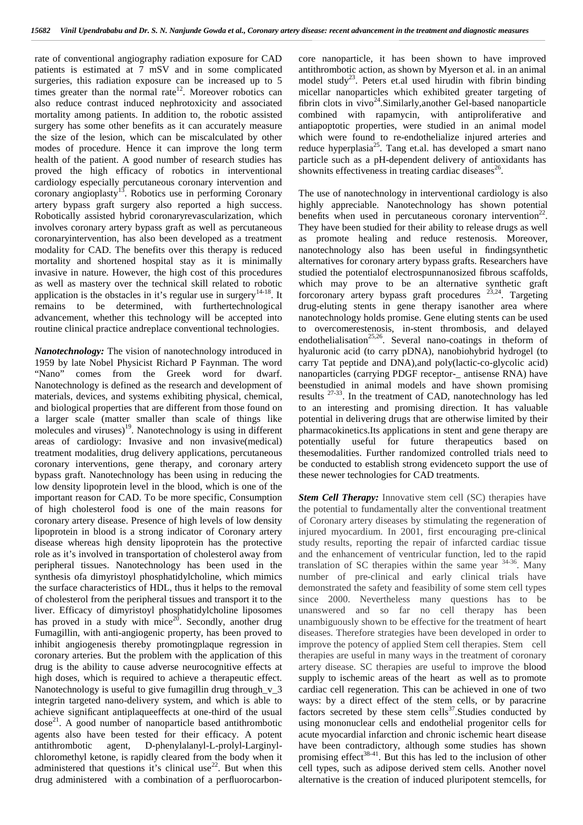rate of conventional angiography radiation exposure for CAD patients is estimated at 7 mSV and in some complicated surgeries, this radiation exposure can be increased up to 5 times greater than the normal rate<sup>12</sup>. Moreover robotics can also reduce contrast induced nephrotoxicity and associated mortality among patients. In addition to, the robotic assisted surgery has some other benefits as it can accurately measure the size of the lesion, which can be miscalculated by other modes of procedure. Hence it can improve the long term health of the patient. A good number of research studies has proved the high efficacy of robotics in interventional cardiology especially percutaneous coronary intervention and coronary angioplasty<sup>13</sup>. Robotics use in performing Coronary artery bypass graft surgery also reported a high success. Robotically assisted hybrid coronaryrevascularization, which involves coronary artery bypass graft as well as percutaneous coronaryintervention, has also been developed as a treatment modality for CAD. The benefits over this therapy is reduced mortality and shortened hospital stay as it is minimally invasive in nature. However, the high cost of this procedures as well as mastery over the technical skill related to robotic application is the obstacles in it's regular use in surgery<sup>14-18</sup>. It remains to be determined, with furthertechnological advancement, whether this technology will be accepted into routine clinical practice andreplace conventional technologies.

*Nanotechnology:* The vision of nanotechnology introduced in 1959 by late Nobel Physicist Richard P Faynman. The word "Nano" comes from the Greek word for dwarf. Nanotechnology is defined as the research and development of materials, devices, and systems exhibiting physical, chemical, and biological properties that are different from those found on a larger scale (matter smaller than scale of things like molecules and viruses)<sup>19</sup>. Nanotechnology is using in different p areas of cardiology: Invasive and non invasive(medical) treatment modalities, drug delivery applications, percutaneous coronary interventions, gene therapy, and coronary artery bypass graft. Nanotechnology has been using in reducing the low density lipoprotein level in the blood, which is one of the important reason for CAD. To be more specific, Consumption of high cholesterol food is one of the main reasons for coronary artery disease. Presence of high levels of low density lipoprotein in blood is a strong indicator of Coronary artery disease whereas high density lipoprotein has the protective role as it's involved in transportation of cholesterol away from peripheral tissues. Nanotechnology has been used in the synthesis ofa dimyristoyl phosphatidylcholine, which mimics the surface characteristics of HDL, thus it helps to the removal of cholesterol from the peripheral tissues and transport it to the liver. Efficacy of dimyristoyl phosphatidylcholine liposomes has proved in a study with mice<sup>20</sup>. Secondly, another drug Fumagillin, with anti-angiogenic property, has been proved to inhibit angiogenesis thereby promotingplaque regression in coronary arteries. But the problem with the application of this drug is the ability to cause adverse neurocognitive effects at high doses, which is required to achieve a therapeutic effect. Nanotechnology is useful to give fumagillin drug through\_v\_3 integrin targeted nano-delivery system, and which is able to achieve significant antiplaqueeffects at one-third of the usual dose<sup>21</sup>. A good number of nanoparticle based antithrombotic usin agents also have been tested for their efficacy. A potent antithrombotic agent, D-phenylalanyl-L-prolyl-Larginyl chloromethyl ketone, is rapidly cleared from the body when it administered that questions it's clinical use<sup>22</sup>. But when this drug administered with a combination of a perfluorocarbon-

core nanoparticle, it has been shown to have improved antithrombotic action, as shown by Myerson et al. in an animal model study<sup>23</sup>. Peters et.al used hirudin with fibrin binding micellar nanoparticles which exhibited greater targeting of fibrin clots in  $vivo^{24}$ . Similarly, another Gel-based nanoparticle combined with rapamycin, with antiproliferative and antiapoptotic properties, were studied in an animal model which were found to re-endothelialize injured arteries and reduce hyperplasia<sup>25</sup>. Tang et.al. has developed a smart nano particle such as a pH-dependent delivery of antioxidants has shownits effectiveness in treating cardiac diseases $^{26}$ .

The use of nanotechnology in interventional cardiology is also highly appreciable. Nanotechnology has shown potential benefits when used in percutaneous coronary intervention<sup>22</sup>. They have been studied for their ability to release drugs as well as promote healing and reduce restenosis. Moreover, nanotechnology also has been useful in findingsynthetic alternatives for coronary artery bypass grafts. Researchers have studied the potentialof electrospunnanosized fibrous scaffolds, which may prove to be an alternative synthetic graft forcoronary artery bypass graft procedures  $23,24$ . Targeting drug-eluting stents in gene therapy isanother area where nanotechnology holds promise. Gene eluting stents can be used to overcomerestenosis, in-stent thrombosis, and delayed endothelialisation<sup>25,26</sup>. Several nano-coatings in theform of hyaluronic acid (to carry pDNA), nanobiohybrid hydrogel (to carry Tat peptide and DNA),and poly(lactic-co-glycolic acid) nanoparticles (carrying PDGF receptor-\_ antisense RNA) have beenstudied in animal models and have shown promising results  $27-33$ . In the treatment of CAD, nanotechnology has led to an interesting and promising direction. It has valuable potential in delivering drugs that are otherwise limited by their pharmacokinetics.Its applications in stent and gene therapy are potentially useful for future therapeutics based on thesemodalities. Further randomized controlled trials need to be conducted to establish strong evidenceto support the use of these newer technologies for CAD treatments.

*Stem Cell Therapy:* Innovative stem cell (SC) therapies have the potential to fundamentally alter the conventional treatment of Coronary artery diseases by stimulating the regeneration of injured myocardium. In 2001, first encouraging pre-clinical study results, reporting the repair of infarcted cardiac tissue and the enhancement of ventricular function, led to the rapid translation of SC therapies within the same year  $34-36$ . Many number of pre-clinical and early clinical trials have demonstrated the safety and feasibility of some stem cell types since 2000. Nevertheless many questions has to be unanswered and so far no cell therapy has been unambiguously shown to be effective for the treatment of heart diseases. Therefore strategies have been developed in order to improve the potency of applied Stem cell therapies. Stem cell therapies are useful in many ways in the treatment of coronary artery disease. SC therapies are useful to improve the blood supply to ischemic areas of the heart as well as to promote cardiac cell regeneration. This can be achieved in one of two ways: by a direct effect of the stem cells, or by paracrine factors secreted by these stem cells $37$ . Studies conducted by using mononuclear cells and endothelial progenitor cells for acute myocardial infarction and chronic ischemic heart disease have been contradictory, although some studies has shown promising effect<sup>38-41</sup>. But this has led to the inclusion of other cell types, such as adipose derived stem cells. Another novel alternative is the creation of induced pluripotent stemcells, for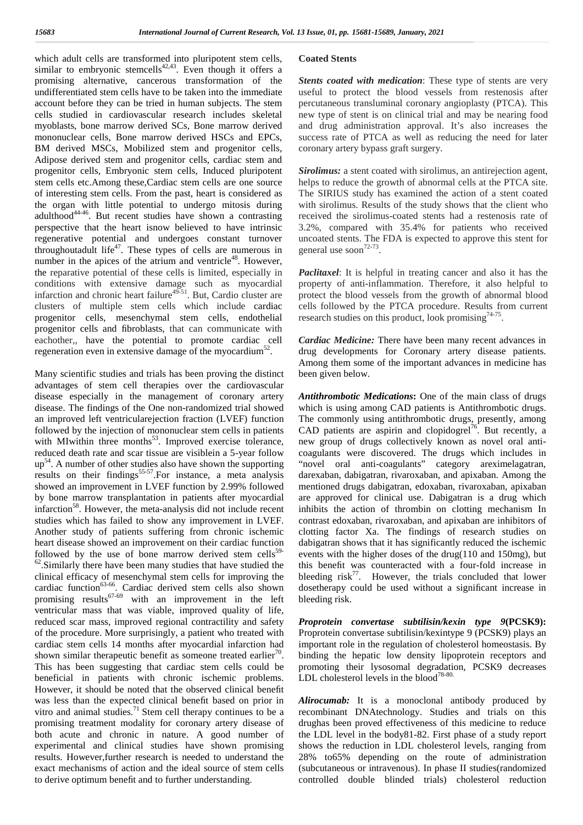which adult cells are transformed into pluripotent stem cells, similar to embryonic stemcells<sup>42,43</sup>. Even though it offers a promising alternative, cancerous transformation of the undifferentiated stem cells have to be taken into the immediate account before they can be tried in human subjects. The stem cells studied in cardiovascular research includes skeletal myoblasts, bone marrow derived SCs, Bone marrow derived mononuclear cells, Bone marrow derived HSCs and EPCs, BM derived MSCs, Mobilized stem and progenitor cells, Adipose derived stem and progenitor cells, cardiac stem and progenitor cells, Embryonic stem cells, Induced pluripotent stem cells etc.Among these,Cardiac stem cells are one source of interesting stem cells. From the past, heart is considered as the organ with little potential to undergo mitosis during adulthood<sup>44-46</sup>. But recent studies have shown a contrasting recei perspective that the heart isnow believed to have intrinsic regenerative potential and undergoes constant turnover throughoutadult life<sup>47</sup>. These types of cells are numerous in number in the apices of the atrium and ventricle<sup>48</sup>. However, the reparative potential of these cells is limited, especially in conditions with extensive damage such as myocardial infarction and chronic heart failure<sup>49-51</sup>. But, Cardio cluster are prot clusters of multiple stem cells which include cardiac progenitor cells, mesenchymal stem cells, endothelial progenitor cells and fibroblasts, that can communicate with eachother,, have the potential to promote cardiac cell regeneration even in extensive damage of the myocardium<sup>52</sup>.

Many scientific studies and trials has been proving the distinct advantages of stem cell therapies over the cardiovascular disease especially in the management of coronary artery disease. The findings of the One non-randomized trial showed an improved left ventricularejection fraction (LVEF) function followed by the injection of mononuclear stem cells in patients with MIwithin three months<sup>53</sup>. Improved exercise tolerance, reduced death rate and scar tissue are visiblein a 5-year follow  $up<sup>54</sup>$ . A number of other studies also have shown the supporting results on their findings<sup>55-57</sup>. For instance, a meta analysis showed an improvement in LVEF function by 2.99% followed by bone marrow transplantation in patients after myocardial infarction<sup>58</sup>. However, the meta-analysis did not include recent studies which has failed to show any improvement in LVEF. Another study of patients suffering from chronic ischemic heart disease showed an improvement on their cardiac function followed by the use of bone marrow derived stem cells<sup>59-62</sup>.<br>Similarly there have been many studies that have studied the clinical efficacy of mesenchymal stem cells for improving the cardiac function $63-66$ . Cardiac derived stem cells also shown promising results<sup>67-69</sup> with an improvement in the left ventricular mass that was viable, improved quality of life, reduced scar mass, improved regional contractility and safety of the procedure. More surprisingly, a patient who treated with cardiac stem cells 14 months after myocardial infarction had shown similar therapeutic benefit as someone treated earlier<sup>70</sup>. b. This has been suggesting that cardiac stem cells could be beneficial in patients with chronic ischemic problems. However, it should be noted that the observed clinical benefit was less than the expected clinical benefit based on prior in vitro and animal studies.<sup>71</sup> Stem cell therapy continues to be a promising treatment modality for coronary artery disease of both acute and chronic in nature. A good number of experimental and clinical studies have shown promising results. However,further research is needed to understand the exact mechanisms of action and the ideal source of stem cells to derive optimum benefit and to further understanding.

## **Coated Stents**

*Stents coated with medication*: These type of stents are very useful to protect the blood vessels from restenosis after percutaneous transluminal coronary angioplasty (PTCA). This new type of stent is on clinical trial and may be nearing food and drug administration approval. It's also increases the success rate of PTCA as well as reducing the need for later coronary artery bypass graft surgery.

*Sirolimus:* a stent coated with sirolimus, an antirejection agent, helps to reduce the growth of abnormal cells at the PTCA site. The SIRIUS study has examined the action of a stent coated with sirolimus. Results of the study shows that the client who received the sirolimus-coated stents had a restenosis rate of 3.2%, compared with 35.4% for patients who received uncoated stents. The FDA is expected to approve this stent for general use soon<sup>72-73</sup>.

*Paclitaxel*: It is helpful in treating cancer and also it has the property of anti-inflammation. Therefore, it also helpful to protect the blood vessels from the growth of abnormal blood cells followed by the PTCA procedure. Results from current research studies on this product, look promising $74-75$ .

*Cardiac Medicine:* There have been many recent advances in drug developments for Coronary artery disease patients. Among them some of the important advances in medicine has been given below.

*Antithrombotic Medications***:** One of the main class of drugs which is using among CAD patients is Antithrombotic drugs. The commonly using antithrombotic drugs, presently, among CAD patients are aspirin and clopidogrel<sup>76</sup>. But recently, a new group of drugs collectively known as novel oral anti coagulants were discovered. The drugs which includes in "novel oral anti-coagulants" category areximelagatran, darexaban, dabigatran, rivaroxaban, and apixaban. Among the mentioned drugs dabigatran, edoxaban, rivaroxaban, apixaban are approved for clinical use. Dabigatran is a drug which inhibits the action of thrombin on clotting mechanism In contrast edoxaban, rivaroxaban, and apixaban are inhibitors of clotting factor Xa. The findings of research studies on dabigatran shows that it has significantly reduced the ischemic events with the higher doses of the drug(110 and 150mg), but this benefit was counteracted with a four-fold increase in bleeding  $risk^{77}$ . However, the trials concluded that lower dosetherapy could be used without a significant increase in bleeding risk.

*Proprotein convertase subtilisin/kexin type 9***(PCSK9):** Proprotein convertase subtilisin/kexintype 9 (PCSK9) plays an important role in the regulation of cholesterol homeostasis. By binding the hepatic low density lipoprotein receptors and promoting their lysosomal degradation, PCSK9 decreases LDL cholesterol levels in the blood<sup>78-80</sup>

*Alirocumab:* It is a monoclonal antibody produced by recombinant DNAtechnology. Studies and trials on this drughas been proved effectiveness of this medicine to reduce the LDL level in the body81-82. First phase of a study report shows the reduction in LDL cholesterol levels, ranging from 28% to65% depending on the route of administration (subcutaneous or intravenous). In phase II studies(randomized controlled double blinded trials) cholesterol reduction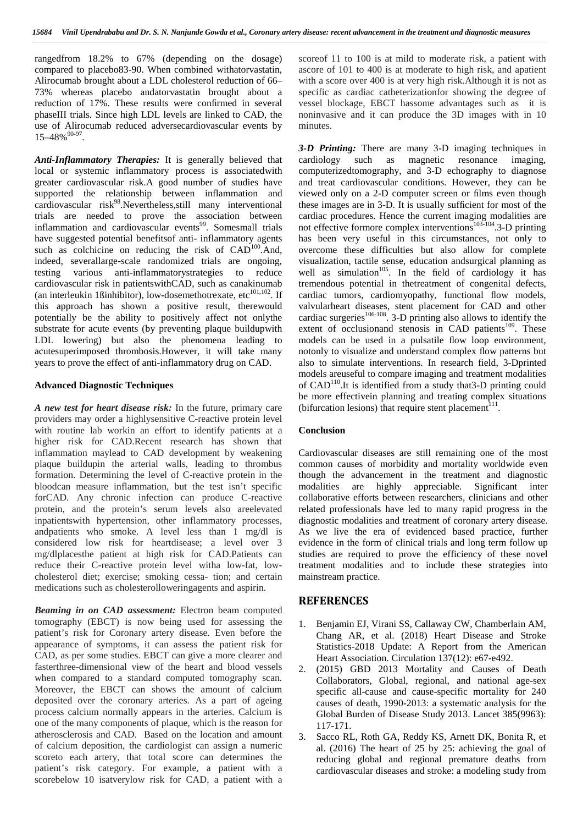rangedfrom 18.2% to 67% (depending on the dosage) compared to placebo83-90. When combined withatorvastatin, Alirocumab brought about a LDL cholesterol reduction of 66– 73% whereas placebo andatorvastatin brought about a reduction of 17%. These results were confirmed in several phaseIII trials. Since high LDL levels are linked to CAD, the use of Alirocumab reduced adversecardiovascular events by  $15-48\%$ <sup>90-97</sup>.

*Anti-Inflammatory Therapies:* It is generally believed that local or systemic inflammatory process is associatedwith greater cardiovascular risk.A good number of studies have supported the relationship between inflammation and cardiovascular risk<sup>98</sup>.Nevertheless,still many interventional trials are needed to prove the association between inflammation and cardiovascular events<sup>99</sup>. Somesmall trials have suggested potential benefitsof anti- inflammatory agents such as colchicine on reducing the risk of  $CAD^{100}$ . And, indeed, severallarge-scale randomized trials are ongoing, testing various anti-inflammatorystrategies to reduce cardiovascular risk in patientswithCAD, such as canakinumab (an interleukin 1ßinhibitor), low-dosemethotrexate, etc<sup>101,102</sup>. If this approach has shown a positive result, therewould potentially be the ability to positively affect not onlythe substrate for acute events (by preventing plaque buildupwith LDL lowering) but also the phenomena leading to acutesuperimposed thrombosis.However, it will take many years to prove the effect of anti-inflammatory drug on CAD.

## **Advanced Diagnostic Techniques**

*A new test for heart disease risk:* In the future, primary care providers may order a highlysensitive C-reactive protein level with routine lab workin an effort to identify patients at a higher risk for CAD.Recent research has shown that inflammation maylead to CAD development by weakening plaque buildupin the arterial walls, leading to thrombus formation. Determining the level of C-reactive protein in the bloodcan measure inflammation, but the test isn't specific forCAD. Any chronic infection can produce C-reactive protein, and the protein's serum levels also areelevated inpatientswith hypertension, other inflammatory processes, andpatients who smoke. A level less than 1 mg/dl is considered low risk for heartdisease; a level over 3 mg/dlplacesthe patient at high risk for CAD.Patients can reduce their C-reactive protein level witha low-fat, low cholesterol diet; exercise; smoking cessa- tion; and certain medications such as cholesterolloweringagents and aspirin.

*Beaming in on CAD assessment:* Electron beam computed tomography (EBCT) is now being used for assessing the patient's risk for Coronary artery disease. Even before the appearance of symptoms, it can assess the patient risk for CAD, as per some studies. EBCT can give a more clearer and fasterthree-dimensional view of the heart and blood vessels when compared to a standard computed tomography scan. Moreover, the EBCT can shows the amount of calcium deposited over the coronary arteries. As a part of ageing process calcium normally appears in the arteries. Calcium is one of the many components of plaque, which is the reason for atherosclerosis and CAD. Based on the location and amount of calcium deposition, the cardiologist can assign a numeric scoreto each artery, that total score can determines the patient's risk category. For example, a patient with a scorebelow 10 isatverylow risk for CAD, a patient with a

scoreof 11 to 100 is at mild to moderate risk, a patient with ascore of 101 to 400 is at moderate to high risk, and apatient with a score over 400 is at very high risk.Although it is not as specific as cardiac catheterizationfor showing the degree of vessel blockage, EBCT hassome advantages such as it is noninvasive and it can produce the 3D images with in 10 minutes.

*3-D Printing:* There are many 3-D imaging techniques in as magnetic resonance imaging, computerizedtomography, and 3-D echography to diagnose and treat cardiovascular conditions. However, they can be viewed only on a 2-D computer screen or films even though these images are in 3-D. It is usually sufficient for most of the cardiac procedures. Hence the current imaging modalities are not effective formore complex interventions<sup>103-104</sup>.3-D printing has been very useful in this circumstances, not only to overcome these difficulties but also allow for complete visualization, tactile sense, education andsurgical planning as well as simulation<sup>105</sup>. In the field of cardiology it has tremendous potential in thetreatment of congenital defects, cardiac tumors, cardiomyopathy, functional flow models, valvularheart diseases, stent placement for CAD and other cardiac surgeries<sup>106-108</sup>. 3-D printing also allows to identify the extent of occlusionand stenosis in CAD patients $109$ . These models can be used in a pulsatile flow loop environment, notonly to visualize and understand complex flow patterns but also to simulate interventions. In research field, 3-Dprinted models areuseful to compare imaging and treatment modalities of CAD<sup>110</sup>.It is identified from a study that3-D printing could be more effectivein planning and treating complex situations (bifurcation lesions) that require stent placement $<sup>111</sup>$ .</sup>

#### **Conclusion**

Cardiovascular diseases are still remaining one of the most common causes of morbidity and mortality worldwide even though the advancement in the treatment and diagnostic are highly appreciable. Significant inter collaborative efforts between researchers, clinicians and other related professionals have led to many rapid progress in the diagnostic modalities and treatment of coronary artery disease. As we live the era of evidenced based practice, further evidence in the form of clinical trials and long term follow up studies are required to prove the efficiency of these novel treatment modalities and to include these strategies into mainstream practice.

## **REFERENCES**

- 1. Benjamin EJ, Virani SS, Callaway CW, Chamberlain AM, Chang AR, et al. (2018) Heart Disease and Stroke Statistics-2018 Update: A Report from the American Heart Association. Circulation 137(12): e67-e492.
- 2. (2015) GBD 2013 Mortality and Causes of Death Collaborators, Global, regional, and national age-sex specific all-cause and cause-specific mortality for 240 causes of death, 1990-2013: a systematic analysis for the Global Burden of Disease Study 2013. Lancet 385(9963): 117-171.
- 3. Sacco RL, Roth GA, Reddy KS, Arnett DK, Bonita R, et al. (2016) The heart of 25 by 25: achieving the goal of reducing global and regional premature deaths from cardiovascular diseases and stroke: a modeling study from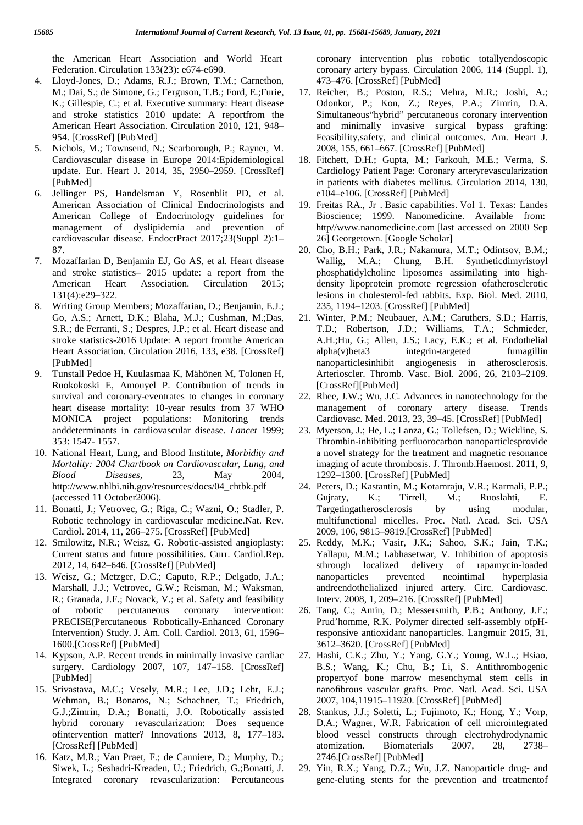the American Heart Association and World Heart Federation. Circulation 133(23): e674-e690.

- 4. Lloyd-Jones, D.; Adams, R.J.; Brown, T.M.; Carnethon, M.; Dai, S.; de Simone, G.; Ferguson, T.B.; Ford, E.;Furie, K.; Gillespie, C.; et al. Executive summary: Heart disease and stroke statistics 2010 update: A reportfrom the American Heart Association. Circulation 2010, 121, 948– 954. [CrossRef] [PubMed]
- 5. Nichols, M.; Townsend, N.; Scarborough, P.; Rayner, M. Cardiovascular disease in Europe 2014:Epidemiological update. Eur. Heart J. 2014, 35, 2950–2959. [CrossRef] [PubMed]
- 6. Jellinger PS, Handelsman Y, Rosenblit PD, et al. American Association of Clinical Endocrinologists and American College of Endocrinology guidelines for management of dyslipidemia and prevention of cardiovascular disease. EndocrPract 2017;23(Suppl 2):1– 87.
- 7. Mozaffarian D, Benjamin EJ, Go AS, et al. Heart disease and stroke statistics– 2015 update: a report from the American Heart Association. Circulation 2015; 131(4):e29–322.
- 8. Writing Group Members; Mozaffarian, D.; Benjamin, E.J.; Go, A.S.; Arnett, D.K.; Blaha, M.J.; Cushman, M.;Das, S.R.; de Ferranti, S.; Despres, J.P.; et al. Heart disease and stroke statistics-2016 Update: A report fromthe American Heart Association. Circulation 2016, 133, e38. [CrossRef] [PubMed]
- 9. Tunstall Pedoe H, Kuulasmaa K, Mähönen M, Tolonen H, Ruokokoski E, Amouyel P. Contribution of trends in survival and coronary-eventrates to changes in coronary heart disease mortality: 10-year results from 37 WHO MONICA project populations: Monitoring trends anddeterminants in cardiovascular disease. *Lancet* 1999; 353: 1547- 1557.
- 10. National Heart, Lung, and Blood Institute, *Morbidity and Mortality: 2004 Chartbook on Cardiovascular, Lung, and Blood Diseases,* 23, May 2004, http://www.nhlbi.nih.gov/resources/docs/04\_chtbk.pdf (accessed 11 October2006).
- 11. Bonatti, J.; Vetrovec, G.; Riga, C.; Wazni, O.; Stadler, P. Robotic technology in cardiovascular medicine.Nat. Rev. Cardiol. 2014, 11, 266–275. [CrossRef] [PubMed]
- 12. Smilowitz, N.R.; Weisz, G. Robotic-assisted angioplasty: Current status and future possibilities. Curr. Cardiol.Rep. 2012, 14, 642–646. [CrossRef] [PubMed]
- 13. Weisz, G.; Metzger, D.C.; Caputo, R.P.; Delgado, J.A.; Marshall, J.J.; Vetrovec, G.W.; Reisman, M.; Waksman, R.; Granada, J.F.; Novack, V.; et al. Safety and feasibility of robotic percutaneous coronary intervention: PRECISE(Percutaneous Robotically-Enhanced Coronary Intervention) Study. J. Am. Coll. Cardiol. 2013, 61, 1596– 1600.[CrossRef] [PubMed]
- 14. Kypson, A.P. Recent trends in minimally invasive cardiac surgery. Cardiology 2007, 107, 147–158. [CrossRef] [PubMed]
- 15. Srivastava, M.C.; Vesely, M.R.; Lee, J.D.; Lehr, E.J.; Wehman, B.; Bonaros, N.; Schachner, T.; Friedrich, G.J.;Zimrin, D.A.; Bonatti, J.O. Robotically assisted hybrid coronary revascularization: Does sequence ofintervention matter? Innovations 2013, 8, 177–183. [CrossRef] [PubMed]
- 16. Katz, M.R.; Van Praet, F.; de Canniere, D.; Murphy, D.; Siwek, L.; Seshadri-Kreaden, U.; Friedrich, G.;Bonatti, J. Integrated coronary revascularization: Percutaneous

coronary intervention plus robotic totallyendoscopic coronary artery bypass. Circulation 2006, 114 (Suppl. 1), 473–476. [CrossRef] [PubMed]

- 17. Reicher, B.; Poston, R.S.; Mehra, M.R.; Joshi, A.; Odonkor, P.; Kon, Z.; Reyes, P.A.; Zimrin, D.A. Simultaneous"hybrid" percutaneous coronary intervention and minimally invasive surgical bypass grafting: Feasibility,safety, and clinical outcomes. Am. Heart J. 2008, 155, 661–667. [CrossRef] [PubMed]
- 18. Fitchett, D.H.; Gupta, M.; Farkouh, M.E.; Verma, S. Cardiology Patient Page: Coronary arteryrevascularization in patients with diabetes mellitus. Circulation 2014, 130, e104–e106. [CrossRef] [PubMed]
- 19. Freitas RA., Jr . Basic capabilities. Vol 1. Texas: Landes Bioscience; 1999. Nanomedicine. Available from: http//www.nanomedicine.com [last accessed on 2000 Sep 26] Georgetown. [Google Scholar]
- 20. Cho, B.H.; Park, J.R.; Nakamura, M.T.; Odintsov, B.M.; Wallig, M.A.; Chung, B.H. Syntheticdimyristoyl phosphatidylcholine liposomes assimilating into high density lipoprotein promote regression ofatherosclerotic lesions in cholesterol-fed rabbits. Exp. Biol. Med. 2010, 235, 1194–1203. [CrossRef] [PubMed]
- 21. Winter, P.M.; Neubauer, A.M.; Caruthers, S.D.; Harris, T.D.; Robertson, J.D.; Williams, T.A.; Schmieder, A.H.;Hu, G.; Allen, J.S.; Lacy, E.K.; et al. Endothelial alpha(v)beta3 integrin-targeted fumagillin nanoparticlesinhibit angiogenesis in atherosclerosis. Arterioscler. Thromb. Vasc. Biol. 2006, 26, 2103–2109. [CrossRef][PubMed]
- 22. Rhee, J.W.; Wu, J.C. Advances in nanotechnology for the management of coronary artery disease. Trends Cardiovasc. Med. 2013, 23, 39–45. [CrossRef] [PubMed]
- 23. Myerson, J.; He, L.; Lanza, G.; Tollefsen, D.; Wickline, S. Thrombin-inhibiting perfluorocarbon nanoparticlesprovide a novel strategy for the treatment and magnetic resonance imaging of acute thrombosis. J. Thromb.Haemost. 2011, 9, 1292–1300. [CrossRef] [PubMed]
- 24. Peters, D.; Kastantin, M.; Kotamraju, V.R.; Karmali, P.P.; Gujraty, K.; Tirrell, M.; Ruoslahti, E. Targetingatherosclerosis by using modular, multifunctional micelles. Proc. Natl. Acad. Sci. USA 2009, 106, 9815–9819.[CrossRef] [PubMed]
- 25. Reddy, M.K.; Vasir, J.K.; Sahoo, S.K.; Jain, T.K.; Yallapu, M.M.; Labhasetwar, V. Inhibition of apoptosis sthrough localized delivery of rapamycin-loaded nanoparticles prevented neointimal hyperplasia andreendothelialized injured artery. Circ. Cardiovasc. Interv. 2008, 1, 209–216. [CrossRef] [PubMed]
- 26. Tang, C.; Amin, D.; Messersmith, P.B.; Anthony, J.E.; Prud'homme, R.K. Polymer directed self-assembly ofpHresponsive antioxidant nanoparticles. Langmuir 2015, 31, 3612–3620. [CrossRef] [PubMed]
- 27. Hashi, C.K.; Zhu, Y.; Yang, G.Y.; Young, W.L.; Hsiao, B.S.; Wang, K.; Chu, B.; Li, S. Antithrombogenic propertyof bone marrow mesenchymal stem cells in nanofibrous vascular grafts. Proc. Natl. Acad. Sci. USA 2007, 104,11915–11920. [CrossRef] [PubMed]
- 28. Stankus, J.J.; Soletti, L.; Fujimoto, K.; Hong, Y.; Vorp, D.A.; Wagner, W.R. Fabrication of cell microintegrated blood vessel constructs through electrohydrodynamic atomization. Biomaterials 2007, 28, 2738– 2746.[CrossRef] [PubMed]
- 29. Yin, R.X.; Yang, D.Z.; Wu, J.Z. Nanoparticle drug- and gene-eluting stents for the prevention and treatmentof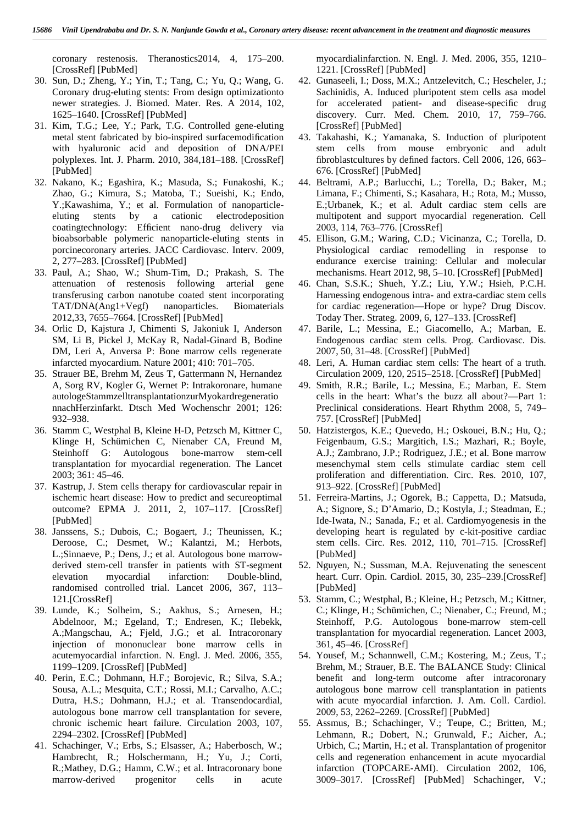coronary restenosis. Theranostics2014, 4, 175–200. [CrossRef] [PubMed]

- 30. Sun, D.; Zheng, Y.; Yin, T.; Tang, C.; Yu, Q.; Wang, G. Coronary drug-eluting stents: From design optimizationto newer strategies. J. Biomed. Mater. Res. A 2014, 102, 1625–1640. [CrossRef] [PubMed]
- 31. Kim, T.G.; Lee, Y.; Park, T.G. Controlled gene-eluting metal stent fabricated by bio-inspired surfacemodification with hyaluronic acid and deposition of DNA/PEI polyplexes. Int. J. Pharm. 2010, 384,181–188. [CrossRef] [PubMed]
- 32. Nakano, K.; Egashira, K.; Masuda, S.; Funakoshi, K.; Zhao, G.; Kimura, S.; Matoba, T.; Sueishi, K.; Endo, Y.;Kawashima, Y.; et al. Formulation of nanoparticle eluting stents by a cationic electrodeposition coatingtechnology: Efficient nano-drug delivery via bioabsorbable polymeric nanoparticle-eluting stents in porcinecoronary arteries. JACC Cardiovasc. Interv. 2009, 2, 277–283. [CrossRef] [PubMed]
- 33. Paul, A.; Shao, W.; Shum-Tim, D.; Prakash, S. The attenuation of restenosis following arterial gene transferusing carbon nanotube coated stent incorporating TAT/DNA(Ang1+Vegf) nanoparticles. Biomaterials 2012,33, 7655–7664. [CrossRef] [PubMed]
- 34. Orlic D, Kajstura J, Chimenti S, Jakoniuk I, Anderson SM, Li B, Pickel J, McKay R, Nadal-Ginard B, Bodine DM, Leri A, Anversa P: Bone marrow cells regenerate infarcted myocardium. Nature 2001; 410: 701–705.
- 35. Strauer BE, Brehm M, Zeus T, Gattermann N, Hernandez A, Sorg RV, Kogler G, Wernet P: Intrakoronare, humane autologeStammzelltransplantationzurMyokardregeneratio nnachHerzinfarkt. Dtsch Med Wochenschr 2001; 126: 932–938.
- 36. Stamm C, Westphal B, Kleine H-D, Petzsch M, Kittner C, Klinge H, Schümichen C, Nienaber CA, Freund M, Steinhoff G: Autologous bone-marrow stem-cell transplantation for myocardial regeneration. The Lancet 2003; 361: 45–46.
- 37. Kastrup, J. Stem cells therapy for cardiovascular repair in ischemic heart disease: How to predict and secureoptimal outcome? EPMA J. 2011, 2, 107–117. [CrossRef] [PubMed]
- 38. Janssens, S.; Dubois, C.; Bogaert, J.; Theunissen, K.; Deroose, C.; Desmet, W.; Kalantzi, M.; Herbots, L.;Sinnaeve, P.; Dens, J.; et al. Autologous bone marrow derived stem-cell transfer in patients with ST-segment elevation myocardial infarction: Double-blind, randomised controlled trial. Lancet 2006, 367, 113– 121.[CrossRef]
- 39. Lunde, K.; Solheim, S.; Aakhus, S.; Arnesen, H.; Abdelnoor, M.; Egeland, T.; Endresen, K.; Ilebekk, A.;Mangschau, A.; Fjeld, J.G.; et al. Intracoronary injection of mononuclear bone marrow cells in acutemyocardial infarction. N. Engl. J. Med. 2006, 355, 1199–1209. [CrossRef] [PubMed]
- 40. Perin, E.C.; Dohmann, H.F.; Borojevic, R.; Silva, S.A.; Sousa, A.L.; Mesquita, C.T.; Rossi, M.I.; Carvalho, A.C.; Dutra, H.S.; Dohmann, H.J.; et al. Transendocardial, autologous bone marrow cell transplantation for severe, chronic ischemic heart failure. Circulation 2003, 107, 2294–2302. [CrossRef] [PubMed]
- 41. Schachinger, V.; Erbs, S.; Elsasser, A.; Haberbosch, W.; Hambrecht, R.; Holschermann, H.; Yu, J.; Corti, R.;Mathey, D.G.; Hamm, C.W.; et al. Intracoronary bone marrow-derived progenitor cells in acute

myocardialinfarction. N. Engl. J. Med. 2006, 355, 1210– 1221. [CrossRef] [PubMed]

- 42. Gunaseeli, I.; Doss, M.X.; Antzelevitch, C.; Hescheler, J.; Sachinidis, A. Induced pluripotent stem cells asa model for accelerated patient- and disease-specific drug discovery. Curr. Med. Chem. 2010, 17, 759–766. [CrossRef] [PubMed]
- 43. Takahashi, K.; Yamanaka, S. Induction of pluripotent stem cells from mouse embryonic and adult fibroblastcultures by defined factors. Cell 2006, 126, 663– 676. [CrossRef] [PubMed]
- 44. Beltrami, A.P.; Barlucchi, L.; Torella, D.; Baker, M.; Limana, F.; Chimenti, S.; Kasahara, H.; Rota, M.; Musso, E.;Urbanek, K.; et al. Adult cardiac stem cells are multipotent and support myocardial regeneration. Cell 2003, 114, 763–776. [CrossRef]
- 45. Ellison, G.M.; Waring, C.D.; Vicinanza, C.; Torella, D. Physiological cardiac remodelling in response to endurance exercise training: Cellular and molecular mechanisms. Heart 2012, 98, 5–10. [CrossRef] [PubMed]
- 46. Chan, S.S.K.; Shueh, Y.Z.; Liu, Y.W.; Hsieh, P.C.H. Harnessing endogenous intra- and extra-cardiac stem cells for cardiac regeneration—Hope or hype? Drug Discov. Today Ther. Strateg. 2009, 6, 127–133. [CrossRef]
- 47. Barile, L.; Messina, E.; Giacomello, A.; Marban, E. Endogenous cardiac stem cells. Prog. Cardiovasc. Dis. 2007, 50, 31–48. [CrossRef] [PubMed]
- 48. Leri, A. Human cardiac stem cells: The heart of a truth. Circulation 2009, 120, 2515–2518. [CrossRef] [PubMed]
- 49. Smith, R.R.; Barile, L.; Messina, E.; Marban, E. Stem cells in the heart: What's the buzz all about?—Part 1: Preclinical considerations. Heart Rhythm 2008, 5, 749– 757. [CrossRef] [PubMed]
- 50. Hatzistergos, K.E.; Quevedo, H.; Oskouei, B.N.; Hu, Q.; Feigenbaum, G.S.; Margitich, I.S.; Mazhari, R.; Boyle, A.J.; Zambrano, J.P.; Rodriguez, J.E.; et al. Bone marrow mesenchymal stem cells stimulate cardiac stem cell proliferation and differentiation. Circ. Res. 2010, 107, 913–922. [CrossRef] [PubMed]
- 51. Ferreira-Martins, J.; Ogorek, B.; Cappetta, D.; Matsuda, A.; Signore, S.; D'Amario, D.; Kostyla, J.; Steadman, E.; Ide-Iwata, N.; Sanada, F.; et al. Cardiomyogenesis in the developing heart is regulated by c-kit-positive cardiac stem cells. Circ. Res. 2012, 110, 701–715. [CrossRef] [PubMed]
- 52. Nguyen, N.; Sussman, M.A. Rejuvenating the senescent heart. Curr. Opin. Cardiol. 2015, 30, 235–239.[CrossRef] [PubMed]
- 53. Stamm, C.; Westphal, B.; Kleine, H.; Petzsch, M.; Kittner, C.; Klinge, H.; Schümichen, C.; Nienaber, C.; Freund, M.; Steinhoff, P.G. Autologous bone-marrow stem-cell transplantation for myocardial regeneration. Lancet 2003, 361, 45–46. [CrossRef]
- 54. Yousef, M.; Schannwell, C.M.; Kostering, M.; Zeus, T.; Brehm, M.; Strauer, B.E. The BALANCE Study: Clinical benefit and long-term outcome after intracoronary autologous bone marrow cell transplantation in patients with acute myocardial infarction. J. Am. Coll. Cardiol. 2009, 53, 2262–2269. [CrossRef] [PubMed]
- 55. Assmus, B.; Schachinger, V.; Teupe, C.; Britten, M.; Lehmann, R.; Dobert, N.; Grunwald, F.; Aicher, A.; Urbich, C.; Martin, H.; et al. Transplantation of progenitor cells and regeneration enhancement in acute myocardial infarction (TOPCARE-AMI). Circulation 2002, 106, 3009–3017. [CrossRef] [PubMed] Schachinger, V.;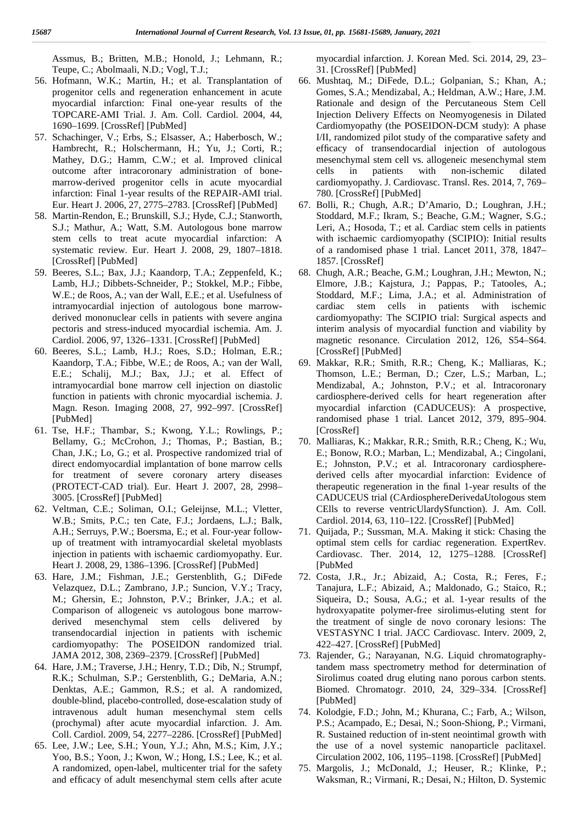Assmus, B.; Britten, M.B.; Honold, J.; Lehmann, R.; Teupe, C.; Abolmaali, N.D.; Vogl, T.J.;

- 56. Hofmann, W.K.; Martin, H.; et al. Transplantation of progenitor cells and regeneration enhancement in acute myocardial infarction: Final one-year results of the TOPCARE-AMI Trial. J. Am. Coll. Cardiol. 2004, 44, 1690–1699. [CrossRef] [PubMed]
- 57. Schachinger, V.; Erbs, S.; Elsasser, A.; Haberbosch, W.; Hambrecht, R.; Holschermann, H.; Yu, J.; Corti, R.; Mathey, D.G.; Hamm, C.W.; et al. Improved clinical outcome after intracoronary administration of bone marrow-derived progenitor cells in acute myocardial infarction: Final 1-year results of the REPAIR-AMI trial. Eur. Heart J. 2006, 27, 2775–2783. [CrossRef] [PubMed]
- 58. Martin-Rendon, E.; Brunskill, S.J.; Hyde, C.J.; Stanworth, S.J.; Mathur, A.; Watt, S.M. Autologous bone marrow stem cells to treat acute myocardial infarction: A systematic review. Eur. Heart J. 2008, 29, 1807–1818. [CrossRef] [PubMed]
- 59. Beeres, S.L.; Bax, J.J.; Kaandorp, T.A.; Zeppenfeld, K.; Lamb, H.J.; Dibbets-Schneider, P.; Stokkel, M.P.; Fibbe, W.E.; de Roos, A.; van der Wall, E.E.; et al. Usefulness of intramyocardial injection of autologous bone marrow derived mononuclear cells in patients with severe angina pectoris and stress-induced myocardial ischemia. Am. J. Cardiol. 2006, 97, 1326–1331. [CrossRef] [PubMed]
- 60. Beeres, S.L.; Lamb, H.J.; Roes, S.D.; Holman, E.R.; Kaandorp, T.A.; Fibbe, W.E.; de Roos, A.; van der Wall, E.E.; Schalij, M.J.; Bax, J.J.; et al. Effect of intramyocardial bone marrow cell injection on diastolic function in patients with chronic myocardial ischemia. J. Magn. Reson. Imaging 2008, 27, 992–997. [CrossRef] [PubMed]
- 61. Tse, H.F.; Thambar, S.; Kwong, Y.L.; Rowlings, P.; Bellamy, G.; McCrohon, J.; Thomas, P.; Bastian, B.; Chan, J.K.; Lo, G.; et al. Prospective randomized trial of direct endomyocardial implantation of bone marrow cells for treatment of severe coronary artery diseases (PROTECT-CAD trial). Eur. Heart J. 2007, 28, 2998– 3005. [CrossRef] [PubMed]
- 62. Veltman, C.E.; Soliman, O.I.; Geleijnse, M.L.; Vletter, W.B.; Smits, P.C.; ten Cate, F.J.; Jordaens, L.J.; Balk, A.H.; Serruys, P.W.; Boersma, E.; et al. Four-year follow up of treatment with intramyocardial skeletal myoblasts injection in patients with ischaemic cardiomyopathy. Eur. Heart J. 2008, 29, 1386–1396. [CrossRef] [PubMed]
- 63. Hare, J.M.; Fishman, J.E.; Gerstenblith, G.; DiFede Velazquez, D.L.; Zambrano, J.P.; Suncion, V.Y.; Tracy, M.; Ghersin, E.; Johnston, P.V.; Brinker, J.A.; et al. Comparison of allogeneic vs autologous bone marrow derived mesenchymal stem cells delivered by transendocardial injection in patients with ischemic cardiomyopathy: The POSEIDON randomized trial. JAMA 2012, 308, 2369–2379. [CrossRef] [PubMed]
- 64. Hare, J.M.; Traverse, J.H.; Henry, T.D.; Dib, N.; Strumpf, R.K.; Schulman, S.P.; Gerstenblith, G.; DeMaria, A.N.; Denktas, A.E.; Gammon, R.S.; et al. A randomized, double-blind, placebo-controlled, dose-escalation study of intravenous adult human mesenchymal stem cells (prochymal) after acute myocardial infarction. J. Am. Coll. Cardiol. 2009, 54, 2277–2286. [CrossRef] [PubMed]
- 65. Lee, J.W.; Lee, S.H.; Youn, Y.J.; Ahn, M.S.; Kim, J.Y.; Yoo, B.S.; Yoon, J.; Kwon, W.; Hong, I.S.; Lee, K.; et al. A randomized, open-label, multicenter trial for the safety and efficacy of adult mesenchymal stem cells after acute

myocardial infarction. J. Korean Med. Sci. 2014, 29, 23– 31. [CrossRef] [PubMed]

- 66. Mushtaq, M.; DiFede, D.L.; Golpanian, S.; Khan, A.; Gomes, S.A.; Mendizabal, A.; Heldman, A.W.; Hare, J.M. Rationale and design of the Percutaneous Stem Cell Injection Delivery Effects on Neomyogenesis in Dilated Cardiomyopathy (the POSEIDON-DCM study): A phase I/II, randomized pilot study of the comparative safety and efficacy of transendocardial injection of autologous mesenchymal stem cell vs. allogeneic mesenchymal stem cells in patients with non-ischemic dilated cardiomyopathy. J. Cardiovasc. Transl. Res. 2014, 7, 769– 780. [CrossRef] [PubMed]
- 67. Bolli, R.; Chugh, A.R.; D'Amario, D.; Loughran, J.H.; Stoddard, M.F.; Ikram, S.; Beache, G.M.; Wagner, S.G.; Leri, A.; Hosoda, T.; et al. Cardiac stem cells in patients with ischaemic cardiomyopathy (SCIPIO): Initial results of a randomised phase 1 trial. Lancet 2011, 378, 1847– 1857. [CrossRef]
- 68. Chugh, A.R.; Beache, G.M.; Loughran, J.H.; Mewton, N.; Elmore, J.B.; Kajstura, J.; Pappas, P.; Tatooles, A.; Stoddard, M.F.; Lima, J.A.; et al. Administration of cardiac stem cells in patients with ischemic cardiomyopathy: The SCIPIO trial: Surgical aspects and interim analysis of myocardial function and viability by magnetic resonance. Circulation 2012, 126, S54–S64. [CrossRef] [PubMed]
- 69. Makkar, R.R.; Smith, R.R.; Cheng, K.; Malliaras, K.; Thomson, L.E.; Berman, D.; Czer, L.S.; Marban, L.; Mendizabal, A.; Johnston, P.V.; et al. Intracoronary cardiosphere-derived cells for heart regeneration after myocardial infarction (CADUCEUS): A prospective, randomised phase 1 trial. Lancet 2012, 379, 895–904. [CrossRef]
- 70. Malliaras, K.; Makkar, R.R.; Smith, R.R.; Cheng, K.; Wu, E.; Bonow, R.O.; Marban, L.; Mendizabal, A.; Cingolani, E.; Johnston, P.V.; et al. Intracoronary cardiosphere derived cells after myocardial infarction: Evidence of therapeutic regeneration in the final 1-year results of the CADUCEUS trial (CArdiosphereDerivedaUtologous stem CElls to reverse ventricUlardySfunction). J. Am. Coll. Cardiol. 2014, 63, 110–122. [CrossRef] [PubMed]
- 71. Quijada, P.; Sussman, M.A. Making it stick: Chasing the optimal stem cells for cardiac regeneration. ExpertRev. Cardiovasc. Ther. 2014, 12, 1275–1288. [CrossRef] [PubMed
- 72. Costa, J.R., Jr.; Abizaid, A.; Costa, R.; Feres, F.; Tanajura, L.F.; Abizaid, A.; Maldonado, G.; Staico, R.; Siqueira, D.; Sousa, A.G.; et al. 1-year results of the hydroxyapatite polymer-free sirolimus-eluting stent for the treatment of single de novo coronary lesions: The VESTASYNC I trial. JACC Cardiovasc. Interv. 2009, 2, 422–427. [CrossRef] [PubMed]
- 73. Rajender, G.; Narayanan, N.G. Liquid chromatographytandem mass spectrometry method for determination of Sirolimus coated drug eluting nano porous carbon stents. Biomed. Chromatogr. 2010, 24, 329–334. [CrossRef] [PubMed]
- 74. Kolodgie, F.D.; John, M.; Khurana, C.; Farb, A.; Wilson, P.S.; Acampado, E.; Desai, N.; Soon-Shiong, P.; Virmani, R. Sustained reduction of in-stent neointimal growth with the use of a novel systemic nanoparticle paclitaxel. Circulation 2002, 106, 1195–1198. [CrossRef] [PubMed]
- 75. Margolis, J.; McDonald, J.; Heuser, R.; Klinke, P.; Waksman, R.; Virmani, R.; Desai, N.; Hilton, D. Systemic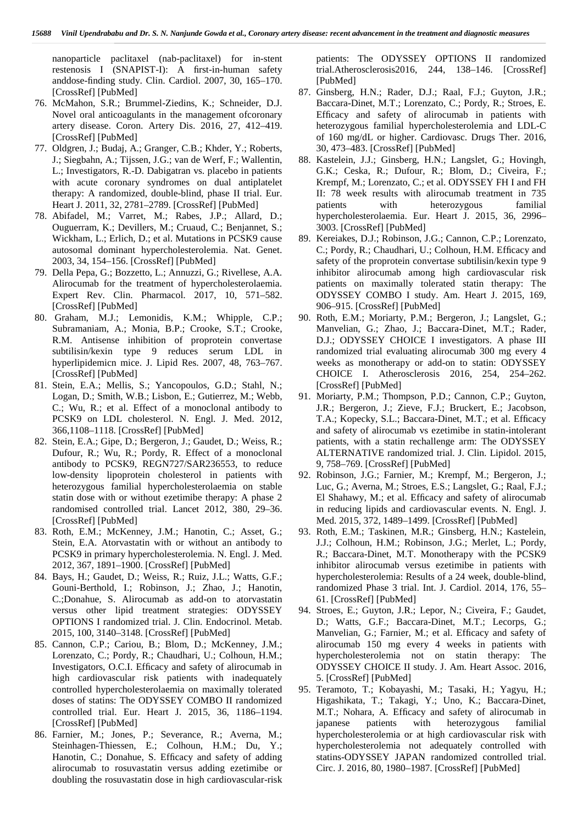nanoparticle paclitaxel (nab-paclitaxel) for in-stent restenosis I (SNAPIST-I): A first-in-human safety anddose-finding study. Clin. Cardiol. 2007, 30, 165–170. [CrossRef] [PubMed]

- 76. McMahon, S.R.; Brummel-Ziedins, K.; Schneider, D.J. Novel oral anticoagulants in the management ofcoronary artery disease. Coron. Artery Dis. 2016, 27, 412–419. [CrossRef] [PubMed]
- 77. Oldgren, J.; Budaj, A.; Granger, C.B.; Khder, Y.; Roberts, J.; Siegbahn, A.; Tijssen, J.G.; van de Werf, F.; Wallentin, L.; Investigators, R.-D. Dabigatran vs. placebo in patients with acute coronary syndromes on dual antiplatelet therapy: A randomized, double-blind, phase II trial. Eur. Heart J. 2011, 32, 2781–2789. [CrossRef] [PubMed]
- 78. Abifadel, M.; Varret, M.; Rabes, J.P.; Allard, D.; Ouguerram, K.; Devillers, M.; Cruaud, C.; Benjannet, S.; Wickham, L.; Erlich, D.; et al. Mutations in PCSK9 cause autosomal dominant hypercholesterolemia. Nat. Genet. 2003, 34, 154–156. [CrossRef] [PubMed]
- 79. Della Pepa, G.; Bozzetto, L.; Annuzzi, G.; Rivellese, A.A. Alirocumab for the treatment of hypercholesterolaemia. Expert Rev. Clin. Pharmacol. 2017, 10, 571–582. [CrossRef] [PubMed]
- 80. Graham, M.J.; Lemonidis, K.M.; Whipple, C.P.; Subramaniam, A.; Monia, B.P.; Crooke, S.T.; Crooke, R.M. Antisense inhibition of proprotein convertase subtilisin/kexin type 9 reduces serum LDL in hyperlipidemicn mice. J. Lipid Res. 2007, 48, 763–767. [CrossRef] [PubMed]
- 81. Stein, E.A.; Mellis, S.; Yancopoulos, G.D.; Stahl, N.; Logan, D.; Smith, W.B.; Lisbon, E.; Gutierrez, M.; Webb, C.; Wu, R.; et al. Effect of a monoclonal antibody to PCSK9 on LDL cholesterol. N. Engl. J. Med. 2012, 366,1108–1118. [CrossRef] [PubMed]
- 82. Stein, E.A.; Gipe, D.; Bergeron, J.; Gaudet, D.; Weiss, R.; Dufour, R.; Wu, R.; Pordy, R. Effect of a monoclonal antibody to PCSK9, REGN727/SAR236553, to reduce low-density lipoprotein cholesterol in patients with heterozygous familial hypercholesterolaemia on stable statin dose with or without ezetimibe therapy: A phase 2 randomised controlled trial. Lancet 2012, 380, 29–36. [CrossRef] [PubMed]
- 83. Roth, E.M.; McKenney, J.M.; Hanotin, C.; Asset, G.; Stein, E.A. Atorvastatin with or without an antibody to PCSK9 in primary hypercholesterolemia. N. Engl. J. Med. 2012, 367, 1891–1900. [CrossRef] [PubMed]
- 84. Bays, H.; Gaudet, D.; Weiss, R.; Ruiz, J.L.; Watts, G.F.; Gouni-Berthold, I.; Robinson, J.; Zhao, J.; Hanotin, C.;Donahue, S. Alirocumab as add-on to atorvastatin versus other lipid treatment strategies: ODYSSEY OPTIONS I randomized trial. J. Clin. Endocrinol. Metab. 2015, 100, 3140–3148. [CrossRef] [PubMed]
- 85. Cannon, C.P.; Cariou, B.; Blom, D.; McKenney, J.M.; Lorenzato, C.; Pordy, R.; Chaudhari, U.; Colhoun, H.M.; Investigators, O.C.I. Efficacy and safety of alirocumab in high cardiovascular risk patients with inadequately controlled hypercholesterolaemia on maximally tolerated doses of statins: The ODYSSEY COMBO II randomized controlled trial. Eur. Heart J. 2015, 36, 1186–1194. [CrossRef] [PubMed]
- 86. Farnier, M.; Jones, P.; Severance, R.; Averna, M.; Steinhagen-Thiessen, E.; Colhoun, H.M.; Du, Y.; Hanotin, C.; Donahue, S. Efficacy and safety of adding alirocumab to rosuvastatin versus adding ezetimibe or doubling the rosuvastatin dose in high cardiovascular-risk

patients: The ODYSSEY OPTIONS II randomized trial.Atherosclerosis2016, 244, 138–146. [CrossRef] [PubMed]

- 87. Ginsberg, H.N.; Rader, D.J.; Raal, F.J.; Guyton, J.R.; Baccara-Dinet, M.T.; Lorenzato, C.; Pordy, R.; Stroes, E. Efficacy and safety of alirocumab in patients with heterozygous familial hypercholesterolemia and LDL-C of 160 mg/dL or higher. Cardiovasc. Drugs Ther. 2016, 30, 473–483. [CrossRef] [PubMed]
- 88. Kastelein, J.J.; Ginsberg, H.N.; Langslet, G.; Hovingh, G.K.; Ceska, R.; Dufour, R.; Blom, D.; Civeira, F.; Krempf, M.; Lorenzato, C.; et al. ODYSSEY FH I and FH II: 78 week results with alirocumab treatment in 735 patients with heterozygous familial hypercholesterolaemia. Eur. Heart J. 2015, 36, 2996– 3003. [CrossRef] [PubMed]
- 89. Kereiakes, D.J.; Robinson, J.G.; Cannon, C.P.; Lorenzato, C.; Pordy, R.; Chaudhari, U.; Colhoun, H.M. Efficacy and safety of the proprotein convertase subtilisin/kexin type 9 inhibitor alirocumab among high cardiovascular risk patients on maximally tolerated statin therapy: The ODYSSEY COMBO I study. Am. Heart J. 2015, 169, 906–915. [CrossRef] [PubMed]
- 90. Roth, E.M.; Moriarty, P.M.; Bergeron, J.; Langslet, G.; Manvelian, G.; Zhao, J.; Baccara-Dinet, M.T.; Rader, D.J.; ODYSSEY CHOICE I investigators. A phase III randomized trial evaluating alirocumab 300 mg every 4 weeks as monotherapy or add-on to statin: ODYSSEY CHOICE I. Atherosclerosis 2016, 254, 254–262. [CrossRef] [PubMed]
- 91. Moriarty, P.M.; Thompson, P.D.; Cannon, C.P.; Guyton, J.R.; Bergeron, J.; Zieve, F.J.; Bruckert, E.; Jacobson, T.A.; Kopecky, S.L.; Baccara-Dinet, M.T.; et al. Efficacy and safety of alirocumab vs ezetimibe in statin-intolerant patients, with a statin rechallenge arm: The ODYSSEY ALTERNATIVE randomized trial. J. Clin. Lipidol. 2015, 9, 758–769. [CrossRef] [PubMed]
- 92. Robinson, J.G.; Farnier, M.; Krempf, M.; Bergeron, J.; Luc, G.; Averna, M.; Stroes, E.S.; Langslet, G.; Raal, F.J.; El Shahawy, M.; et al. Efficacy and safety of alirocumab in reducing lipids and cardiovascular events. N. Engl. J. Med. 2015, 372, 1489–1499. [CrossRef] [PubMed]
- 93. Roth, E.M.; Taskinen, M.R.; Ginsberg, H.N.; Kastelein, J.J.; Colhoun, H.M.; Robinson, J.G.; Merlet, L.; Pordy, R.; Baccara-Dinet, M.T. Monotherapy with the PCSK9 inhibitor alirocumab versus ezetimibe in patients with hypercholesterolemia: Results of a 24 week, double-blind, randomized Phase 3 trial. Int. J. Cardiol. 2014, 176, 55– 61. [CrossRef] [PubMed]
- 94. Stroes, E.; Guyton, J.R.; Lepor, N.; Civeira, F.; Gaudet, D.; Watts, G.F.; Baccara-Dinet, M.T.; Lecorps, G.; Manvelian, G.; Farnier, M.; et al. Efficacy and safety of alirocumab 150 mg every 4 weeks in patients with hypercholesterolemia not on statin therapy: The ODYSSEY CHOICE II study. J. Am. Heart Assoc. 2016, 5. [CrossRef] [PubMed]
- 95. Teramoto, T.; Kobayashi, M.; Tasaki, H.; Yagyu, H.; Higashikata, T.; Takagi, Y.; Uno, K.; Baccara-Dinet, M.T.; Nohara, A. Efficacy and safety of alirocumab in japanese patients with heterozygous familial hypercholesterolemia or at high cardiovascular risk with hypercholesterolemia not adequately controlled with statins-ODYSSEY JAPAN randomized controlled trial. Circ. J. 2016, 80, 1980–1987. [CrossRef] [PubMed]